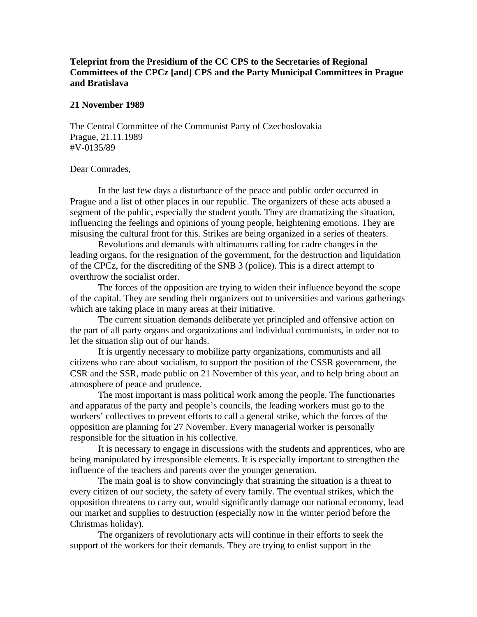## **Teleprint from the Presidium of the CC CPS to the Secretaries of Regional Committees of the CPCz [and] CPS and the Party Municipal Committees in Prague and Bratislava**

## **21 November 1989**

The Central Committee of the Communist Party of Czechoslovakia Prague, 21.11.1989 #V-0135/89

## Dear Comrades,

 In the last few days a disturbance of the peace and public order occurred in Prague and a list of other places in our republic. The organizers of these acts abused a segment of the public, especially the student youth. They are dramatizing the situation, influencing the feelings and opinions of young people, heightening emotions. They are misusing the cultural front for this. Strikes are being organized in a series of theaters.

 Revolutions and demands with ultimatums calling for cadre changes in the leading organs, for the resignation of the government, for the destruction and liquidation of the CPCz, for the discrediting of the SNB 3 (police). This is a direct attempt to overthrow the socialist order.

 The forces of the opposition are trying to widen their influence beyond the scope of the capital. They are sending their organizers out to universities and various gatherings which are taking place in many areas at their initiative.

 The current situation demands deliberate yet principled and offensive action on the part of all party organs and organizations and individual communists, in order not to let the situation slip out of our hands.

 It is urgently necessary to mobilize party organizations, communists and all citizens who care about socialism, to support the position of the CSSR government, the CSR and the SSR, made public on 21 November of this year, and to help bring about an atmosphere of peace and prudence.

 The most important is mass political work among the people. The functionaries and apparatus of the party and people's councils, the leading workers must go to the workers' collectives to prevent efforts to call a general strike, which the forces of the opposition are planning for 27 November. Every managerial worker is personally responsible for the situation in his collective.

 It is necessary to engage in discussions with the students and apprentices, who are being manipulated by irresponsible elements. It is especially important to strengthen the influence of the teachers and parents over the younger generation.

 The main goal is to show convincingly that straining the situation is a threat to every citizen of our society, the safety of every family. The eventual strikes, which the opposition threatens to carry out, would significantly damage our national economy, lead our market and supplies to destruction (especially now in the winter period before the Christmas holiday).

 The organizers of revolutionary acts will continue in their efforts to seek the support of the workers for their demands. They are trying to enlist support in the